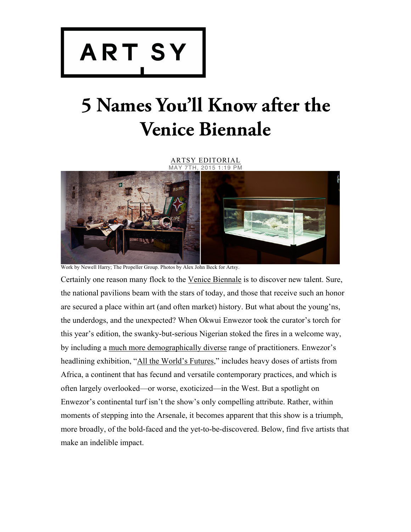

## **5 Names You'll Know after the Venice Biennale**

ARTSY EDITORIAL 7TH, 2015 1:19 PM



Work by Newell Harry; The Propeller Group. Photos by Alex John Beck for Artsy.

Certainly one reason many flock to the Venice Biennale is to discover new talent. Sure, the national pavilions beam with the stars of today, and those that receive such an honor are secured a place within art (and often market) history. But what about the young'ns, the underdogs, and the unexpected? When Okwui Enwezor took the curator's torch for this year's edition, the swanky-but-serious Nigerian stoked the fires in a welcome way, by including a much more demographically diverse range of practitioners. Enwezor's headlining exhibition, "All the World's Futures," includes heavy doses of artists from Africa, a continent that has fecund and versatile contemporary practices, and which is often largely overlooked—or worse, exoticized—in the West. But a spotlight on Enwezor's continental turf isn't the show's only compelling attribute. Rather, within moments of stepping into the Arsenale, it becomes apparent that this show is a triumph, more broadly, of the bold-faced and the yet-to-be-discovered. Below, find five artists that make an indelible impact.